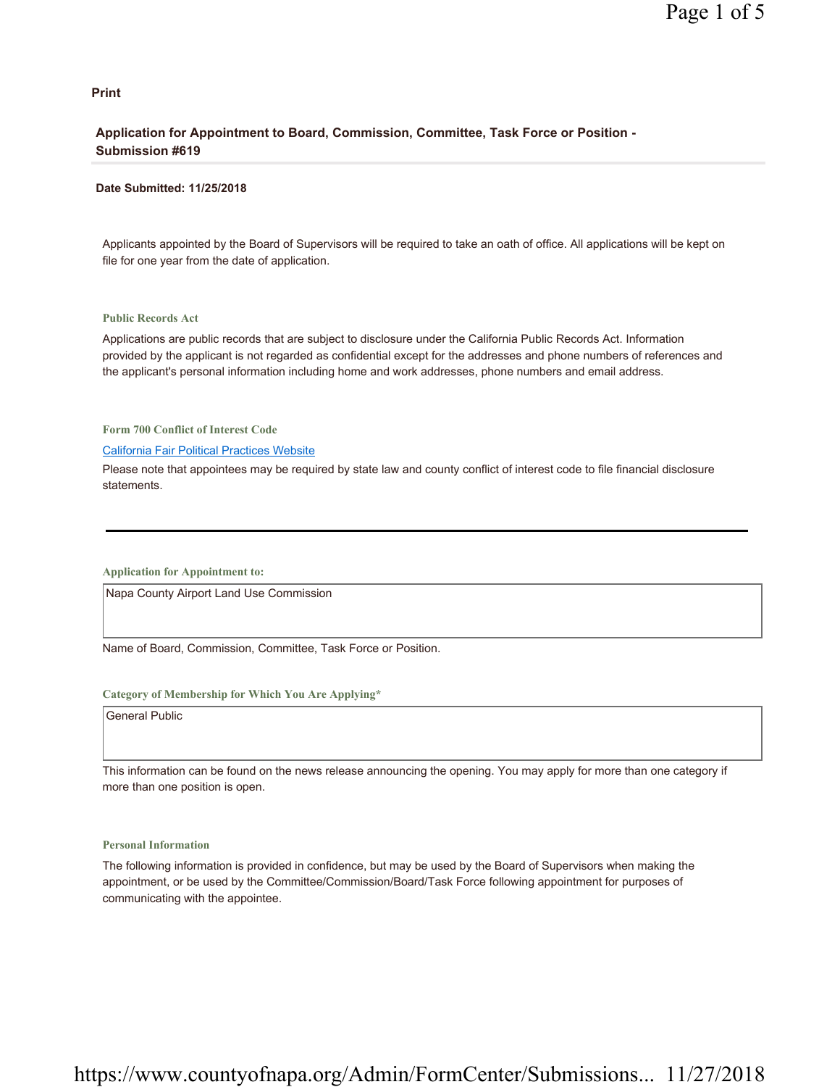#### **Print**

## **Application for Appointment to Board, Commission, Committee, Task Force or Position - Submission #619**

#### **Date Submitted: 11/25/2018**

Applicants appointed by the Board of Supervisors will be required to take an oath of office. All applications will be kept on file for one year from the date of application.

#### **Public Records Act**

Applications are public records that are subject to disclosure under the California Public Records Act. Information provided by the applicant is not regarded as confidential except for the addresses and phone numbers of references and the applicant's personal information including home and work addresses, phone numbers and email address.

**Form 700 Conflict of Interest Code**

#### California Fair Political Practices Website

Please note that appointees may be required by state law and county conflict of interest code to file financial disclosure statements.

**Application for Appointment to:** 

Napa County Airport Land Use Commission

Name of Board, Commission, Committee, Task Force or Position.

#### **Category of Membership for Which You Are Applying\***

General Public

This information can be found on the news release announcing the opening. You may apply for more than one category if more than one position is open.

#### **Personal Information**

The following information is provided in confidence, but may be used by the Board of Supervisors when making the appointment, or be used by the Committee/Commission/Board/Task Force following appointment for purposes of communicating with the appointee.

# https://www.countyofnapa.org/Admin/FormCenter/Submissions... 11/27/2018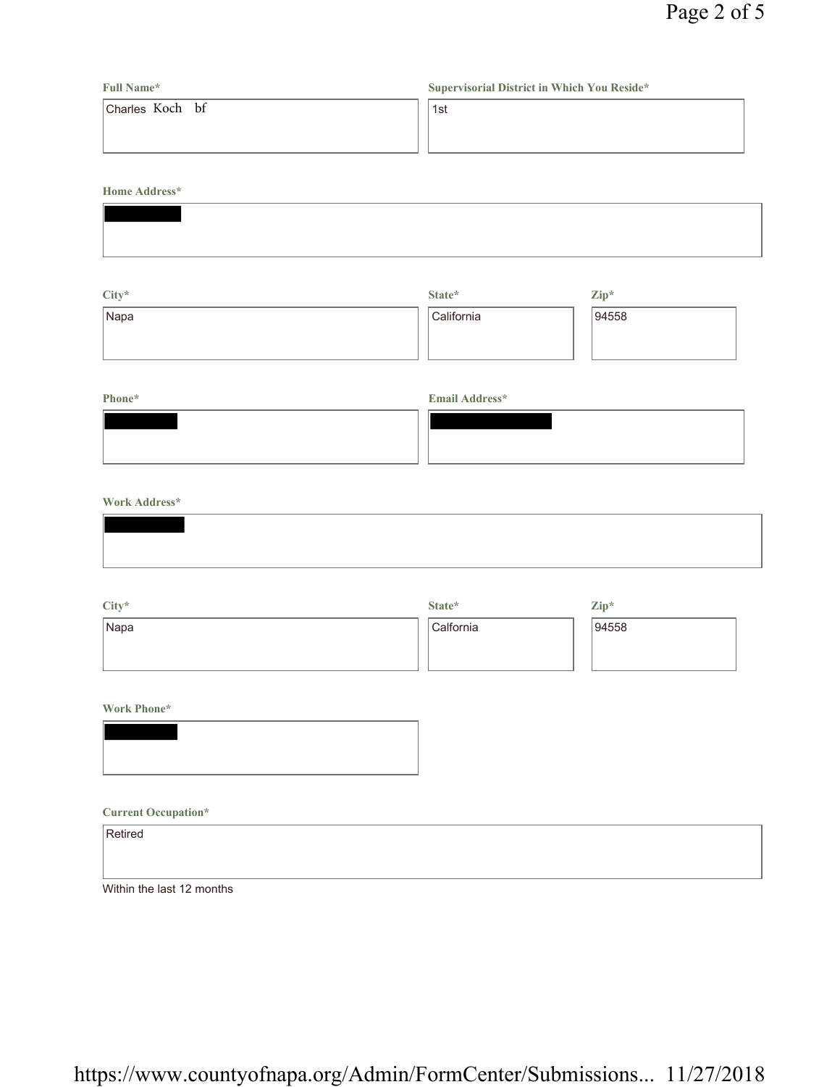| <b>Full Name*</b> | Supervisorial District in Which You Reside* |
|-------------------|---------------------------------------------|
| Charles Koch bf   | 1st                                         |
|                   |                                             |
|                   |                                             |

**Home Address\***

| City* | State*     | $\mathbf{Zip}^*$ |
|-------|------------|------------------|
| Napa  | California | 94558            |
|       |            |                  |
|       |            |                  |

## **Phone\* Email Address\***

| $   -$ |  |
|--------|--|
|        |  |
|        |  |
|        |  |
|        |  |
|        |  |
|        |  |

## **Work Address\***

| City* | State*    | $\mathbf{Zip}^*$ |
|-------|-----------|------------------|
| Napa  | Calfornia | 94558            |
|       |           |                  |
|       |           |                  |

## **Work Phone\***



### **Current Occupation\***

| Retired                   |  |  |
|---------------------------|--|--|
|                           |  |  |
| Within the last 12 months |  |  |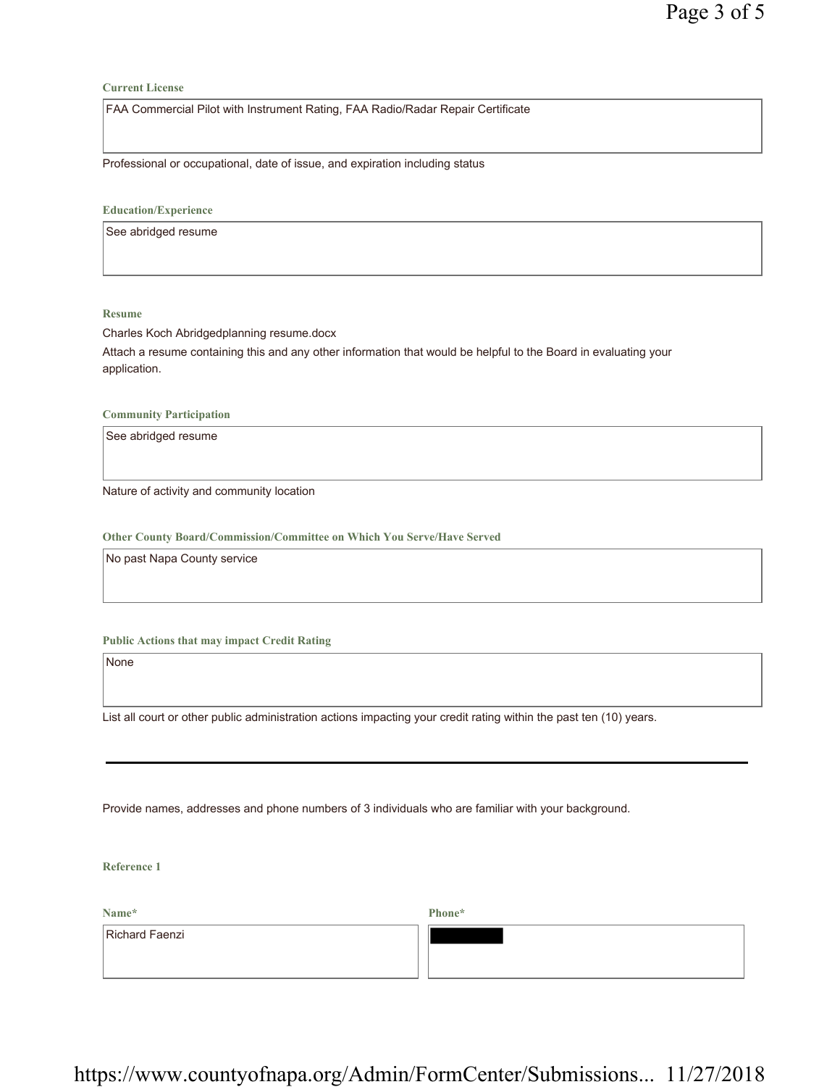#### **Current License**

FAA Commercial Pilot with Instrument Rating, FAA Radio/Radar Repair Certificate

Professional or occupational, date of issue, and expiration including status

**Education/Experience**

See abridged resume

#### **Resume**

Charles Koch Abridgedplanning resume.docx Attach a resume containing this and any other information that would be helpful to the Board in evaluating your application.

**Community Participation**

See abridged resume

Nature of activity and community location

**Other County Board/Commission/Committee on Which You Serve/Have Served**

No past Napa County service

## **Public Actions that may impact Credit Rating**

None

List all court or other public administration actions impacting your credit rating within the past ten (10) years.

Provide names, addresses and phone numbers of 3 individuals who are familiar with your background.

**Reference 1**

**Name\*** Richard Faenzi **Phone\***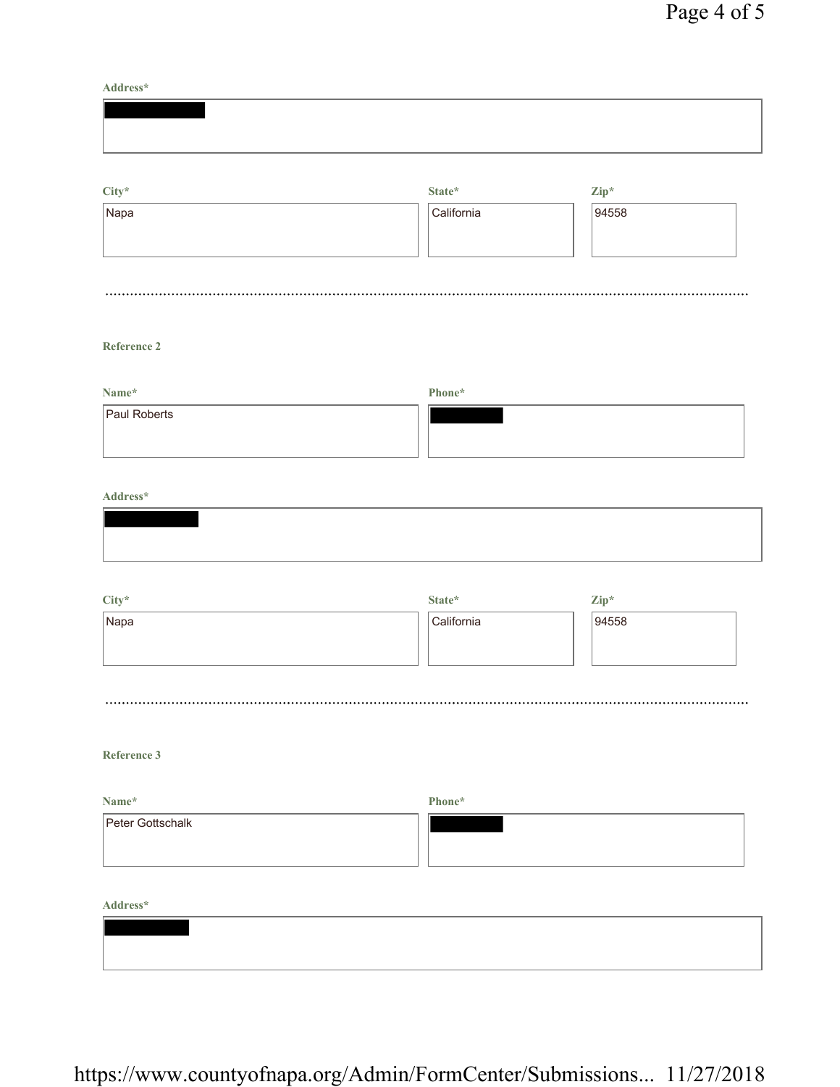**Address\***

| $City*$ | State* | $\mathbf{Zip}^*$ |
|---------|--------|------------------|

| Napa | California | 94558 |  |
|------|------------|-------|--|
|      |            |       |  |
|      |            |       |  |
|      |            |       |  |

## **Reference 2**

| Name*        | Phone* |
|--------------|--------|
| Paul Roberts |        |

## **Address\***

|      | State*     | $\mathbf{Zip}^*$ |  |
|------|------------|------------------|--|
| Napa | California | 94558            |  |
|      |            |                  |  |
|      |            |                  |  |

## **Reference 3**

| Name*            | Phone* |
|------------------|--------|
| Peter Gottschalk |        |
|                  |        |

**Address\***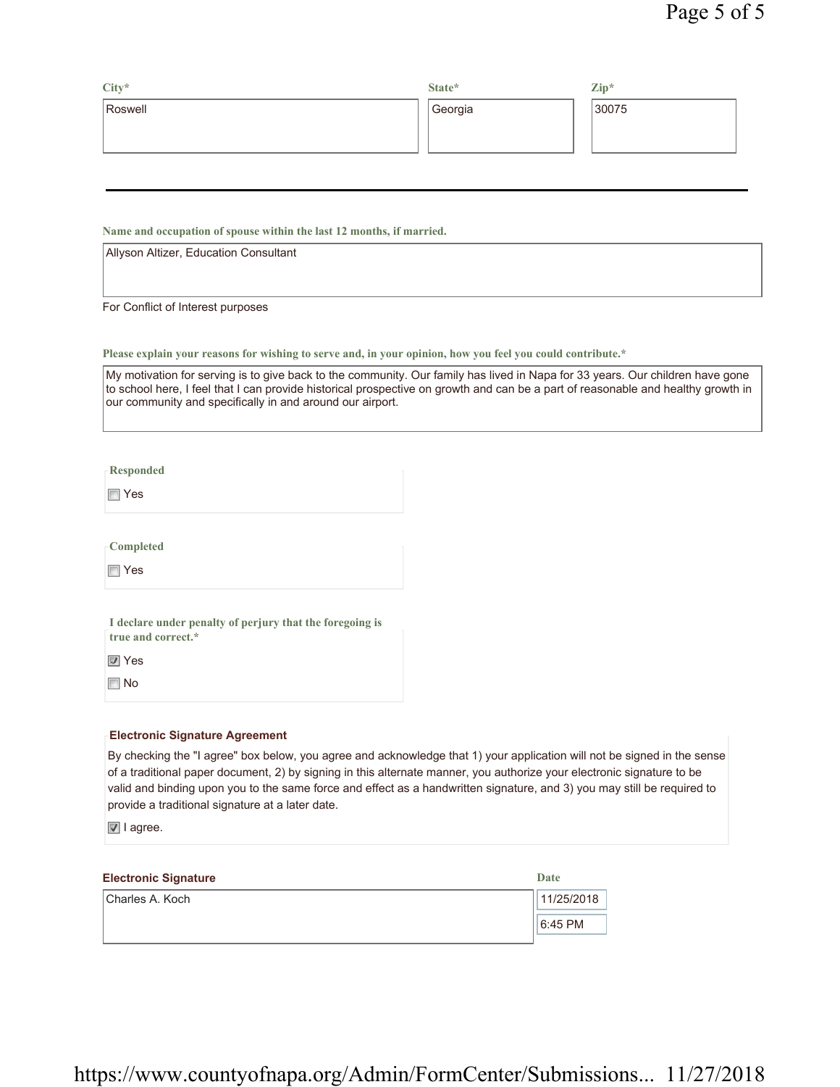| $City*$ | State*  | $\mathbf{Zip}^*$ |
|---------|---------|------------------|
| Roswell | Georgia | 30075            |
|         |         |                  |
|         |         |                  |

**Name and occupation of spouse within the last 12 months, if married.**

Allyson Altizer, Education Consultant

For Conflict of Interest purposes

**Please explain your reasons for wishing to serve and, in your opinion, how you feel you could contribute.\***

My motivation for serving is to give back to the community. Our family has lived in Napa for 33 years. Our children have gone to school here, I feel that I can provide historical prospective on growth and can be a part of reasonable and healthy growth in our community and specifically in and around our airport.

**Responded**

Yes

**Completed**

Yes

**I declare under penalty of perjury that the foregoing is true and correct.\***

**Ves** 

No

## **Electronic Signature Agreement**

By checking the "I agree" box below, you agree and acknowledge that 1) your application will not be signed in the sense of a traditional paper document, 2) by signing in this alternate manner, you authorize your electronic signature to be valid and binding upon you to the same force and effect as a handwritten signature, and 3) you may still be required to provide a traditional signature at a later date.

**■** I agree.

| <b>Electronic Signature</b> | Date       |
|-----------------------------|------------|
| Charles A. Koch             | 11/25/2018 |
|                             | $6:45$ PM  |